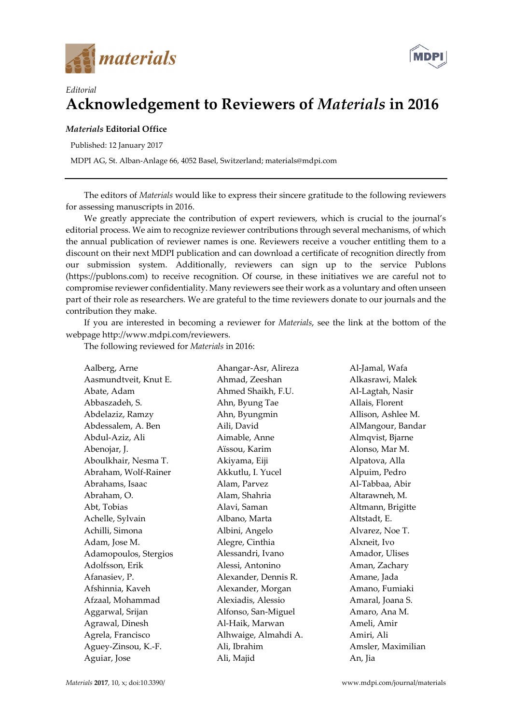



## *Editorial*  **Acknowledgement to Reviewers of** *Materials* **in 2016**

## *Materials* **Editorial Office**

Published: 12 January 2017

MDPI AG, St. Alban-Anlage 66, 4052 Basel, Switzerland; materials@mdpi.com

The editors of *Materials* would like to express their sincere gratitude to the following reviewers for assessing manuscripts in 2016.

We greatly appreciate the contribution of expert reviewers, which is crucial to the journal's editorial process. We aim to recognize reviewer contributions through several mechanisms, of which the annual publication of reviewer names is one. Reviewers receive a voucher entitling them to a discount on their next MDPI publication and can download a certificate of recognition directly from our submission system. Additionally, reviewers can sign up to the service Publons (https://publons.com) to receive recognition. Of course, in these initiatives we are careful not to compromise reviewer confidentiality. Many reviewers see their work as a voluntary and often unseen part of their role as researchers. We are grateful to the time reviewers donate to our journals and the contribution they make.

If you are interested in becoming a reviewer for *Materials*, see the link at the bottom of the webpage http://www.mdpi.com/reviewers.

The following reviewed for *Materials* in 2016:

| Aalberg, Arne         | Ahangar-Asr, Alireza | Al-Jamal, Wafa     |
|-----------------------|----------------------|--------------------|
| Aasmundtveit, Knut E. | Ahmad, Zeeshan       | Alkasrawi, Malek   |
| Abate, Adam           | Ahmed Shaikh, F.U.   | Al-Lagtah, Nasir   |
| Abbaszadeh, S.        | Ahn, Byung Tae       | Allais, Florent    |
| Abdelaziz, Ramzy      | Ahn, Byungmin        | Allison, Ashlee M. |
| Abdessalem, A. Ben    | Aili, David          | AlMangour, Bandar  |
| Abdul-Aziz, Ali       | Aimable, Anne        | Almqvist, Bjarne   |
| Abenojar, J.          | Aïssou, Karim        | Alonso, Mar M.     |
| Aboulkhair, Nesma T.  | Akiyama, Eiji        | Alpatova, Alla     |
| Abraham, Wolf-Rainer  | Akkutlu, I. Yucel    | Alpuim, Pedro      |
| Abrahams, Isaac       | Alam, Parvez         | Al-Tabbaa, Abir    |
| Abraham, O.           | Alam, Shahria        | Altarawneh, M.     |
| Abt, Tobias           | Alavi, Saman         | Altmann, Brigitte  |
| Achelle, Sylvain      | Albano, Marta        | Altstadt, E.       |
| Achilli, Simona       | Albini, Angelo       | Alvarez, Noe T.    |
| Adam, Jose M.         | Alegre, Cinthia      | Alxneit, Ivo       |
| Adamopoulos, Stergios | Alessandri, Ivano    | Amador, Ulises     |
| Adolfsson, Erik       | Alessi, Antonino     | Aman, Zachary      |
| Afanasiev, P.         | Alexander, Dennis R. | Amane, Jada        |
| Afshinnia, Kaveh      | Alexander, Morgan    | Amano, Fumiaki     |
| Afzaal, Mohammad      | Alexiadis, Alessio   | Amaral, Joana S.   |
| Aggarwal, Srijan      | Alfonso, San-Miguel  | Amaro, Ana M.      |
| Agrawal, Dinesh       | Al-Haik, Marwan      | Ameli, Amir        |
| Agrela, Francisco     | Alhwaige, Almahdi A. | Amiri, Ali         |
| Aguey-Zinsou, K.-F.   | Ali, Ibrahim         | Amsler, Maximilian |
| Aguiar, Jose          | Ali, Majid           | An, Jia            |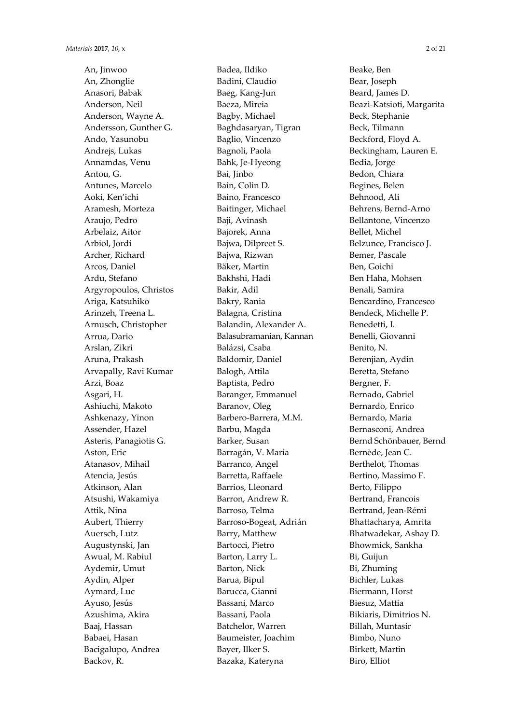An, Jinwoo An, Zhonglie Anasori, Babak Anderson, Neil Anderson, Wayne A. Andersson, Gunther G. Ando, Yasunobu Andrejs, Lukas Annamdas, Venu Antou, G. Antunes, Marcelo Aoki, Ken'ichi Aramesh, Morteza Araujo, Pedro Arbelaiz, Aitor Arbiol, Jordi Archer, Richard Arcos, Daniel Ardu, Stefano Argyropoulos, Christos Ariga, Katsuhiko Arinzeh, Treena L. Arnusch, Christopher Arrua, Dario Arslan, Zikri Aruna, Prakash Arvapally, Ravi Kumar Arzi, Boaz Asgari, H. Ashiuchi, Makoto Ashkenazy, Yinon Assender, Hazel Asteris, Panagiotis G. Aston, Eric Atanasov, Mihail Atencia, Jesús Atkinson, Alan Atsushi, Wakamiya Attik, Nina Aubert, Thierry Auersch, Lutz Augustynski, Jan Awual, M. Rabiul Aydemir, Umut Aydin, Alper Aymard, Luc Ayuso, Jesús Azushima, Akira Baaj, Hassan Babaei, Hasan Bacigalupo, Andrea Backov, R.

Badea, Ildiko Badini, Claudio Baeg, Kang-Jun Baeza, Mireia Bagby, Michael Baghdasaryan, Tigran Baglio, Vincenzo Bagnoli, Paola Bahk, Je-Hyeong Bai, Jinbo Bain, Colin D. Baino, Francesco Baitinger, Michael Baji, Avinash Bajorek, Anna Bajwa, Dilpreet S. Bajwa, Rizwan Bäker, Martin Bakhshi, Hadi Bakir, Adil Bakry, Rania Balagna, Cristina Balandin, Alexander A. Balasubramanian, Kannan Balázsi, Csaba Baldomir, Daniel Balogh, Attila Baptista, Pedro Baranger, Emmanuel Baranov, Oleg Barbero-Barrera, M.M. Barbu, Magda Barker, Susan Barragán, V. María Barranco, Angel Barretta, Raffaele Barrios, Lleonard Barron, Andrew R. Barroso, Telma Barroso-Bogeat, Adrián Barry, Matthew Bartocci, Pietro Barton, Larry L. Barton, Nick Barua, Bipul Barucca, Gianni Bassani, Marco Bassani, Paola Batchelor, Warren Baumeister, Joachim Bayer, Ilker S. Bazaka, Kateryna

Beake, Ben Bear, Joseph Beard, James D. Beazi-Katsioti, Margarita Beck, Stephanie Beck, Tilmann Beckford, Floyd A. Beckingham, Lauren E. Bedia, Jorge Bedon, Chiara Begines, Belen Behnood, Ali Behrens, Bernd-Arno Bellantone, Vincenzo Bellet, Michel Belzunce, Francisco J. Bemer, Pascale Ben, Goichi Ben Haha, Mohsen Benali, Samira Bencardino, Francesco Bendeck, Michelle P. Benedetti, I. Benelli, Giovanni Benito, N. Berenjian, Aydin Beretta, Stefano Bergner, F. Bernado, Gabriel Bernardo, Enrico Bernardo, Maria Bernasconi, Andrea Bernd Schönbauer, Bernd Bernède, Jean C. Berthelot, Thomas Bertino, Massimo F. Berto, Filippo Bertrand, Francois Bertrand, Jean-Rémi Bhattacharya, Amrita Bhatwadekar, Ashay D. Bhowmick, Sankha Bi, Guijun Bi, Zhuming Bichler, Lukas Biermann, Horst Biesuz, Mattia Bikiaris, Dimitrios N. Billah, Muntasir Bimbo, Nuno Birkett, Martin Biro, Elliot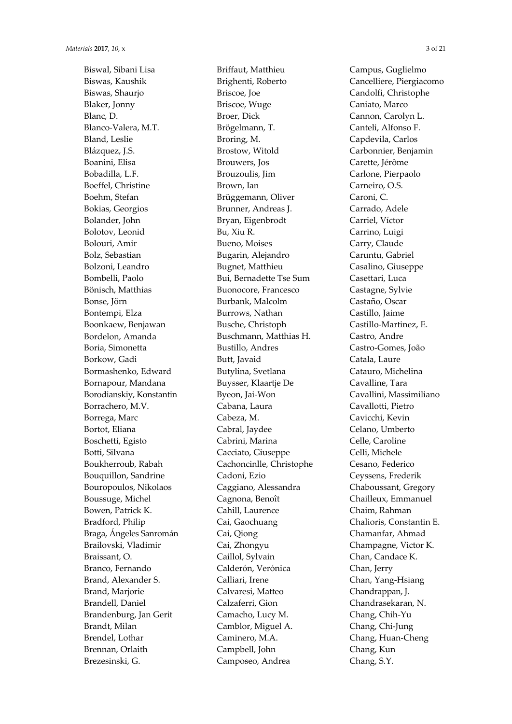Biswal, Sibani Lisa Biswas, Kaushik Biswas, Shaurjo Blaker, Jonny Blanc, D. Blanco-Valera, M.T. Bland, Leslie Blázquez, J.S. Boanini, Elisa Bobadilla, L.F. Boeffel, Christine Boehm, Stefan Bokias, Georgios Bolander, John Bolotov, Leonid Bolouri, Amir Bolz, Sebastian Bolzoni, Leandro Bombelli, Paolo Bönisch, Matthias Bonse, Jörn Bontempi, Elza Boonkaew, Benjawan Bordelon, Amanda Boria, Simonetta Borkow, Gadi Bormashenko, Edward Bornapour, Mandana Borodianskiy, Konstantin Borrachero, M.V. Borrega, Marc Bortot, Eliana Boschetti, Egisto Botti, Silvana Boukherroub, Rabah Bouquillon, Sandrine Bouropoulos, Nikolaos Boussuge, Michel Bowen, Patrick K. Bradford, Philip Braga, Ángeles Sanromán Brailovski, Vladimir Braissant, O. Branco, Fernando Brand, Alexander S. Brand, Marjorie Brandell, Daniel Brandenburg, Jan Gerit Brandt, Milan Brendel, Lothar Brennan, Orlaith Brezesinski, G.

Briffaut, Matthieu Brighenti, Roberto Briscoe, Joe Briscoe, Wuge Broer, Dick Brögelmann, T. Broring, M. Brostow, Witold Brouwers, Jos Brouzoulis, Jim Brown, Ian Brüggemann, Oliver Brunner, Andreas J. Bryan, Eigenbrodt Bu, Xiu R. Bueno, Moises Bugarin, Alejandro Bugnet, Matthieu Bui, Bernadette Tse Sum Buonocore, Francesco Burbank, Malcolm Burrows, Nathan Busche, Christoph Buschmann, Matthias H. Bustillo, Andres Butt, Javaid Butylina, Svetlana Buysser, Klaartje De Byeon, Jai-Won Cabana, Laura Cabeza, M. Cabral, Jaydee Cabrini, Marina Cacciato, Giuseppe Cachoncinlle, Christophe Cadoni, Ezio Caggiano, Alessandra Cagnona, Benoît Cahill, Laurence Cai, Gaochuang Cai, Qiong Cai, Zhongyu Caillol, Sylvain Calderón, Verónica Calliari, Irene Calvaresi, Matteo Calzaferri, Gion Camacho, Lucy M. Camblor, Miguel A. Caminero, M.A. Campbell, John Camposeo, Andrea

Campus, Guglielmo Cancelliere, Piergiacomo Candolfi, Christophe Caniato, Marco Cannon, Carolyn L. Canteli, Alfonso F. Capdevila, Carlos Carbonnier, Benjamin Carette, Jérôme Carlone, Pierpaolo Carneiro, O.S. Caroni, C. Carrado, Adele Carriel, Víctor Carrino, Luigi Carry, Claude Caruntu, Gabriel Casalino, Giuseppe Casettari, Luca Castagne, Sylvie Castaño, Oscar Castillo, Jaime Castillo-Martinez, E. Castro, Andre Castro-Gomes, João Catala, Laure Catauro, Michelina Cavalline, Tara Cavallini, Massimiliano Cavallotti, Pietro Cavicchi, Kevin Celano, Umberto Celle, Caroline Celli, Michele Cesano, Federico Ceyssens, Frederik Chaboussant, Gregory Chailleux, Emmanuel Chaim, Rahman Chalioris, Constantin Ε. Chamanfar, Ahmad Champagne, Victor K. Chan, Candace K. Chan, Jerry Chan, Yang-Hsiang Chandrappan, J. Chandrasekaran, N. Chang, Chih-Yu Chang, Chi-Jung Chang, Huan-Cheng Chang, Kun Chang, S.Y.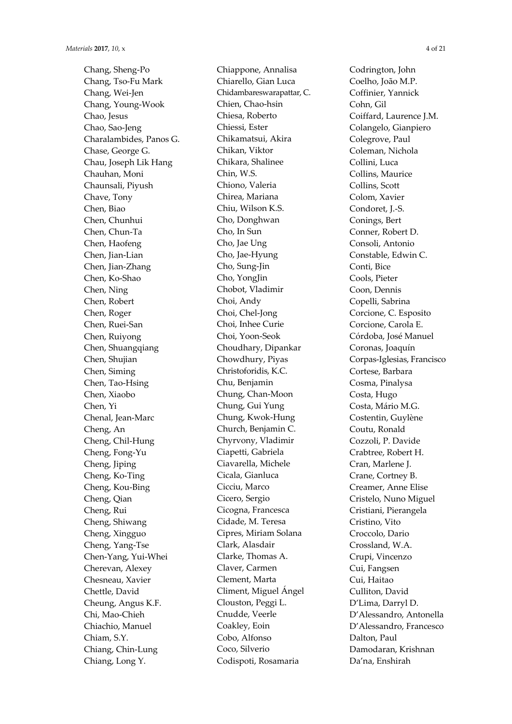Chang, Sheng-Po Chang, Tso-Fu Mark Chang, Wei-Jen Chang, Young-Wook Chao, Jesus Chao, Sao-Jeng Charalambides, Panos G. Chase, George G. Chau, Joseph Lik Hang Chauhan, Moni Chaunsali, Piyush Chave, Tony Chen, Biao Chen, Chunhui Chen, Chun-Ta Chen, Haofeng Chen, Jian-Lian Chen, Jian-Zhang Chen, Ko-Shao Chen, Ning Chen, Robert Chen, Roger Chen, Ruei-San Chen, Ruiyong Chen, Shuangqiang Chen, Shujian Chen, Siming Chen, Tao-Hsing Chen, Xiaobo Chen, Yi Chenal, Jean-Marc Cheng, An Cheng, Chil-Hung Cheng, Fong-Yu Cheng, Jiping Cheng, Ko-Ting Cheng, Kou-Bing Cheng, Qian Cheng, Rui Cheng, Shiwang Cheng, Xingguo Cheng, Yang-Tse Chen-Yang, Yui-Whei Cherevan, Alexey Chesneau, Xavier Chettle, David Cheung, Angus K.F. Chi, Mao-Chieh Chiachio, Manuel Chiam, S.Y. Chiang, Chin-Lung Chiang, Long Y.

Chiappone, Annalisa Chiarello, Gian Luca Chidambareswarapattar, C. Chien, Chao-hsin Chiesa, Roberto Chiessi, Ester Chikamatsui, Akira Chikan, Viktor Chikara, Shalinee Chin, W.S. Chiono, Valeria Chirea, Mariana Chiu, Wilson K.S. Cho, Donghwan Cho, In Sun Cho, Jae Ung Cho, Jae-Hyung Cho, Sung-Jin Cho, YongJin Chobot, Vladimir Choi, Andy Choi, Chel-Jong Choi, Inhee Curie Choi, Yoon-Seok Choudhary, Dipankar Chowdhury, Piyas Christoforidis, K.C. Chu, Benjamin Chung, Chan-Moon Chung, Gui Yung Chung, Kwok-Hung Church, Benjamin C. Chyrvony, Vladimir Ciapetti, Gabriela Ciavarella, Michele Cicala, Gianluca Cicciu, Marco Cicero, Sergio Cicogna, Francesca Cidade, M. Teresa Cipres, Miriam Solana Clark, Alasdair Clarke, Thomas A. Claver, Carmen Clement, Marta Climent, Miguel Ángel Clouston, Peggi L. Cnudde, Veerle Coakley, Eoin Cobo, Alfonso Coco, Silverio Codispoti, Rosamaria

Codrington, John Coelho, João M.P. Coffinier, Yannick Cohn, Gil Coiffard, Laurence J.M. Colangelo, Gianpiero Colegrove, Paul Coleman, Nichola Collini, Luca Collins, Maurice Collins, Scott Colom, Xavier Condoret, J.-S. Conings, Bert Conner, Robert D. Consoli, Antonio Constable, Edwin C. Conti, Bice Cools, Pieter Coon, Dennis Copelli, Sabrina Corcione, C. Esposito Corcione, Carola E. Córdoba, José Manuel Coronas, Joaquín Corpas-Iglesias, Francisco Cortese, Barbara Cosma, Pinalysa Costa, Hugo Costa, Mário M.G. Costentin, Guylène Coutu, Ronald Cozzoli, P. Davide Crabtree, Robert H. Cran, Marlene J. Crane, Cortney B. Creamer, Anne Elise Cristelo, Nuno Miguel Cristiani, Pierangela Cristino, Vito Croccolo, Dario Crossland, W.A. Crupi, Vincenzo Cui, Fangsen Cui, Haitao Culliton, David D'Lima, Darryl D. D'Alessandro, Antonella D'Alessandro, Francesco Dalton, Paul Damodaran, Krishnan Da'na, Enshirah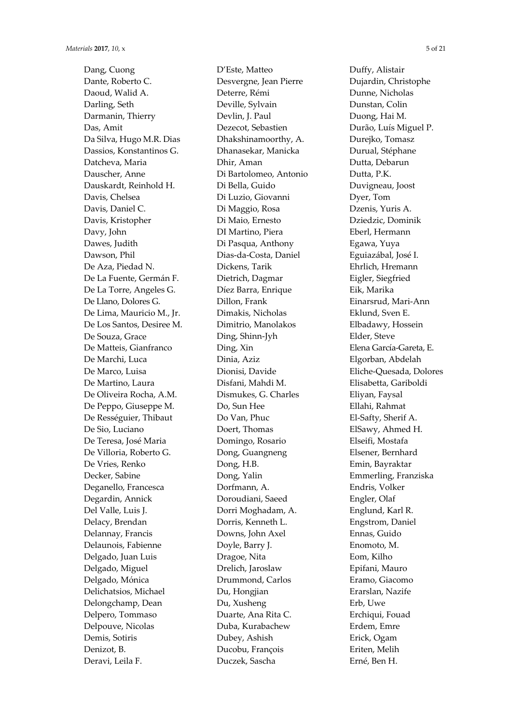Dang, Cuong Dante, Roberto C. Daoud, Walid A. Darling, Seth Darmanin, Thierry Das, Amit Da Silva, Hugo M.R. Dias Dassios, Konstantinos G. Datcheva, Maria Dauscher, Anne Dauskardt, Reinhold H. Davis, Chelsea Davis, Daniel C. Davis, Kristopher Davy, John Dawes, Judith Dawson, Phil De Aza, Piedad N. De La Fuente, Germán F. De La Torre, Angeles G. De Llano, Dolores G. De Lima, Mauricio M., Jr. De Los Santos, Desiree M. De Souza, Grace De Matteis, Gianfranco De Marchi, Luca De Marco, Luisa De Martino, Laura De Oliveira Rocha, A.M. De Peppo, Giuseppe M. De Rességuier, Thibaut De Sio, Luciano De Teresa, José Maria De Villoria, Roberto G. De Vries, Renko Decker, Sabine Deganello, Francesca Degardin, Annick Del Valle, Luis J. Delacy, Brendan Delannay, Francis Delaunois, Fabienne Delgado, Juan Luis Delgado, Miguel Delgado, Mónica Delichatsios, Michael Delongchamp, Dean Delpero, Tommaso Delpouve, Nicolas Demis, Sotiris Denizot, B. Deravi, Leila F.

D'Este, Matteo Desvergne, Jean Pierre Deterre, Rémi Deville, Sylvain Devlin, J. Paul Dezecot, Sebastien Dhakshinamoorthy, A. Dhanasekar, Manicka Dhir, Aman Di Bartolomeo, Antonio Di Bella, Guido Di Luzio, Giovanni Di Maggio, Rosa Di Maio, Ernesto DI Martino, Piera Di Pasqua, Anthony Dias-da-Costa, Daniel Dickens, Tarik Dietrich, Dagmar Díez Barra, Enrique Dillon, Frank Dimakis, Nicholas Dimitrio, Manolakos Ding, Shinn-Jyh Ding, Xin Dinia, Aziz Dionisi, Davide Disfani, Mahdi M. Dismukes, G. Charles Do, Sun Hee Do Van, Phuc Doert, Thomas Domingo, Rosario Dong, Guangneng Dong, H.B. Dong, Yalin Dorfmann, A. Doroudiani, Saeed Dorri Moghadam, A. Dorris, Kenneth L. Downs, John Axel Doyle, Barry J. Dragoe, Nita Drelich, Jaroslaw Drummond, Carlos Du, Hongjian Du, Xusheng Duarte, Ana Rita C. Duba, Kurabachew Dubey, Ashish Ducobu, François Duczek, Sascha

Duffy, Alistair Dujardin, Christophe Dunne, Nicholas Dunstan, Colin Duong, Hai M. Durão, Luís Miguel P. Durejko, Tomasz Durual, Stéphane Dutta, Debarun Dutta, P.K. Duvigneau, Joost Dyer, Tom Dzenis, Yuris A. Dziedzic, Dominik Eberl, Hermann Egawa, Yuya Eguiazábal, José I. Ehrlich, Hremann Eigler, Siegfried Eik, Marika Einarsrud, Mari-Ann Eklund, Sven E. Elbadawy, Hossein Elder, Steve Elena García-Gareta, E. Elgorban, Abdelah Eliche-Quesada, Dolores Elisabetta, Gariboldi Eliyan, Faysal Ellahi, Rahmat El-Safty, Sherif A. ElSawy, Ahmed H. Elseifi, Mostafa Elsener, Bernhard Emin, Bayraktar Emmerling, Franziska Endris, Volker Engler, Olaf Englund, Karl R. Engstrom, Daniel Ennas, Guido Enomoto, M. Eom, Kilho Epifani, Mauro Eramo, Giacomo Erarslan, Nazife Erb, Uwe Erchiqui, Fouad Erdem, Emre Erick, Ogam Eriten, Melih Erné, Ben H.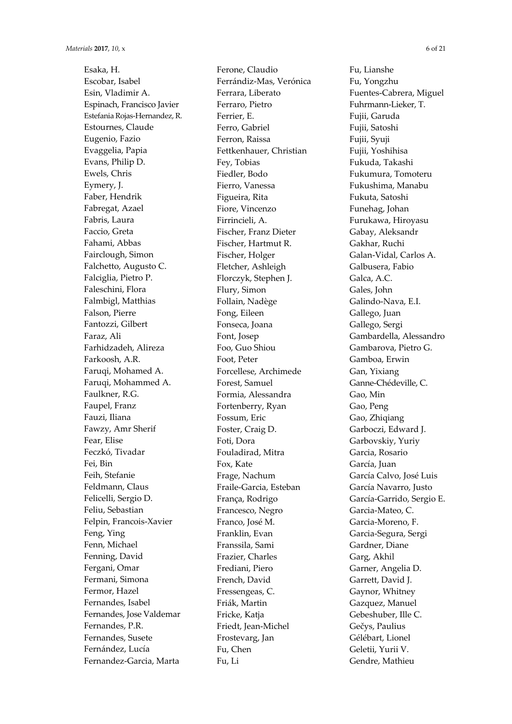Esaka, H. Escobar, Isabel Esin, Vladimir A. Espinach, Francisco Javier Estefania Rojas-Hernandez, R. Estournes, Claude Eugenio, Fazio Evaggelia, Papia Evans, Philip D. Ewels, Chris Eymery, J. Faber, Hendrik Fabregat, Azael Fabris, Laura Faccio, Greta Fahami, Abbas Fairclough, Simon Falchetto, Augusto C. Falciglia, Pietro P. Faleschini, Flora Falmbigl, Matthias Falson, Pierre Fantozzi, Gilbert Faraz, Ali Farhidzadeh, Alireza Farkoosh, A.R. Faruqi, Mohamed A. Faruqi, Mohammed A. Faulkner, R.G. Faupel, Franz Fauzi, Iliana Fawzy, Amr Sherif Fear, Elise Feczkó, Tivadar Fei, Bin Feih, Stefanie Feldmann, Claus Felicelli, Sergio D. Feliu, Sebastian Felpin, Francois-Xavier Feng, Ying Fenn, Michael Fenning, David Fergani, Omar Fermani, Simona Fermor, Hazel Fernandes, Isabel Fernandes, Jose Valdemar Fernandes, P.R. Fernandes, Susete Fernández, Lucía Fernandez-Garcia, Marta

Ferone, Claudio Ferrándiz-Mas, Verónica Ferrara, Liberato Ferraro, Pietro Ferrier, E. Ferro, Gabriel Ferron, Raissa Fettkenhauer, Christian Fey, Tobias Fiedler, Bodo Fierro, Vanessa Figueira, Rita Fiore, Vincenzo Firrincieli, A. Fischer, Franz Dieter Fischer, Hartmut R. Fischer, Holger Fletcher, Ashleigh Florczyk, Stephen J. Flury, Simon Follain, Nadège Fong, Eileen Fonseca, Joana Font, Josep Foo, Guo Shiou Foot, Peter Forcellese, Archimede Forest, Samuel Formia, Alessandra Fortenberry, Ryan Fossum, Eric Foster, Craig D. Foti, Dora Fouladirad, Mitra Fox, Kate Frage, Nachum Fraile-Garcia, Esteban França, Rodrigo Francesco, Negro Franco, José M. Franklin, Evan Franssila, Sami Frazier, Charles Frediani, Piero French, David Fressengeas, C. Friák, Martin Fricke, Katja Friedt, Jean-Michel Frostevarg, Jan Fu, Chen Fu, Li

Fu, Lianshe Fu, Yongzhu Fuentes-Cabrera, Miguel Fuhrmann-Lieker, T. Fujii, Garuda Fujii, Satoshi Fujii, Syuji Fujii, Yoshihisa Fukuda, Takashi Fukumura, Tomoteru Fukushima, Manabu Fukuta, Satoshi Funehag, Johan Furukawa, Hiroyasu Gabay, Aleksandr Gakhar, Ruchi Galan-Vidal, Carlos A. Galbusera, Fabio Galca, A.C. Gales, John Galindo-Nava, E.I. Gallego, Juan Gallego, Sergi Gambardella, Alessandro Gambarova, Pietro G. Gamboa, Erwin Gan, Yixiang Ganne-Chédeville, C. Gao, Min Gao, Peng Gao, Zhiqiang Garboczi, Edward J. Garbovskiy, Yuriy Garcia, Rosario García, Juan García Calvo, José Luis García Navarro, Justo García-Garrido, Sergio E. Garcia-Mateo, C. Garcia-Moreno, F. Garcia-Segura, Sergi Gardner, Diane Garg, Akhil Garner, Angelia D. Garrett, David J. Gaynor, Whitney Gazquez, Manuel Gebeshuber, Ille C. Gečys, Paulius Gélébart, Lionel Geletii, Yurii V. Gendre, Mathieu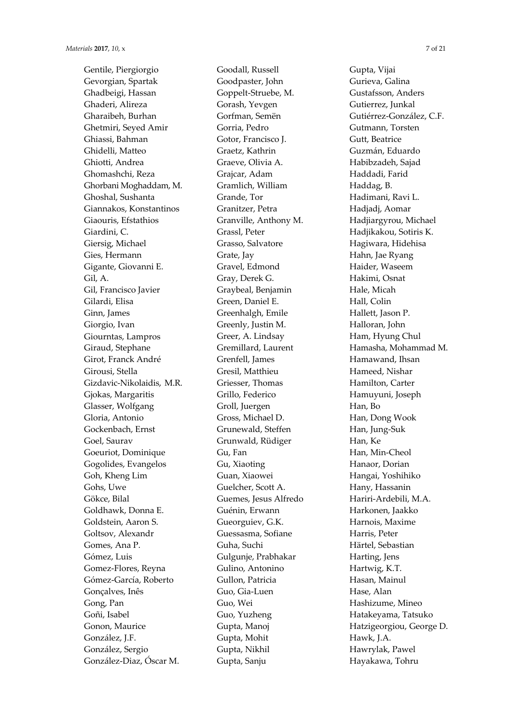Gentile, Piergiorgio Gevorgian, Spartak Ghadbeigi, Hassan Ghaderi, Alireza Gharaibeh, Burhan Ghetmiri, Seyed Amir Ghiassi, Bahman Ghidelli, Matteo Ghiotti, Andrea Ghomashchi, Reza Ghorbani Moghaddam, M. Ghoshal, Sushanta Giannakos, Konstantinos Giaouris, Efstathios Giardini, C. Giersig, Michael Gies, Hermann Gigante, Giovanni E. Gil, A. Gil, Francisco Javier Gilardi, Elisa Ginn, James Giorgio, Ivan Giourntas, Lampros Giraud, Stephane Girot, Franck André Girousi, Stella Gizdavic-Nikolaidis, M.R. Gjokas, Margaritis Glasser, Wolfgang Gloria, Antonio Gockenbach, Ernst Goel, Saurav Goeuriot, Dominique Gogolides, Evangelos Goh, Kheng Lim Gohs, Uwe Gökce, Bilal Goldhawk, Donna E. Goldstein, Aaron S. Goltsov, Alexandr Gomes, Ana P. Gómez, Luis Gomez-Flores, Reyna Gómez-García, Roberto Gonçalves, Inês Gong, Pan Goñi, Isabel Gonon, Maurice González, J.F. González, Sergio González-Diaz, Óscar M.

Goodall, Russell Goodpaster, John Goppelt-Struebe, M. Gorash, Yevgen Gorfman, Semën Gorria, Pedro Gotor, Francisco J. Graetz, Kathrin Graeve, Olivia A. Grajcar, Adam Gramlich, William Grande, Tor Granitzer, Petra Granville, Anthony M. Grassl, Peter Grasso, Salvatore Grate, Jay Gravel, Edmond Gray, Derek G. Graybeal, Benjamin Green, Daniel E. Greenhalgh, Emile Greenly, Justin M. Greer, A. Lindsay Gremillard, Laurent Grenfell, James Gresil, Matthieu Griesser, Thomas Grillo, Federico Groll, Juergen Gross, Michael D. Grunewald, Steffen Grunwald, Rüdiger Gu, Fan Gu, Xiaoting Guan, Xiaowei Guelcher, Scott A. Guemes, Jesus Alfredo Guénin, Erwann Gueorguiev, G.K. Guessasma, Sofiane Guha, Suchi Gulgunje, Prabhakar Gulino, Antonino Gullon, Patricia Guo, Gia-Luen Guo, Wei Guo, Yuzheng Gupta, Manoj Gupta, Mohit Gupta, Nikhil Gupta, Sanju

Gupta, Vijai Gurieva, Galina Gustafsson, Anders Gutierrez, Junkal Gutiérrez-González, C.F. Gutmann, Torsten Gutt, Beatrice Guzmán, Eduardo Habibzadeh, Sajad Haddadi, Farid Haddag, B. Hadimani, Ravi L. Hadjadj, Aomar Hadjiargyrou, Michael Hadjikakou, Sotiris K. Hagiwara, Hidehisa Hahn, Jae Ryang Haider, Waseem Hakimi, Osnat Hale, Micah Hall, Colin Hallett, Jason P. Halloran, John Ham, Hyung Chul Hamasha, Mohammad M. Hamawand, Ihsan Hameed, Nishar Hamilton, Carter Hamuyuni, Joseph Han, Bo Han, Dong Wook Han, Jung-Suk Han, Ke Han, Min-Cheol Hanaor, Dorian Hangai, Yoshihiko Hany, Hassanin Hariri-Ardebili, M.A. Harkonen, Jaakko Harnois, Maxime Harris, Peter Härtel, Sebastian Harting, Jens Hartwig, K.T. Hasan, Mainul Hase, Alan Hashizume, Mineo Hatakeyama, Tatsuko Hatzigeorgiou, George D. Hawk, J.A. Hawrylak, Pawel Hayakawa, Tohru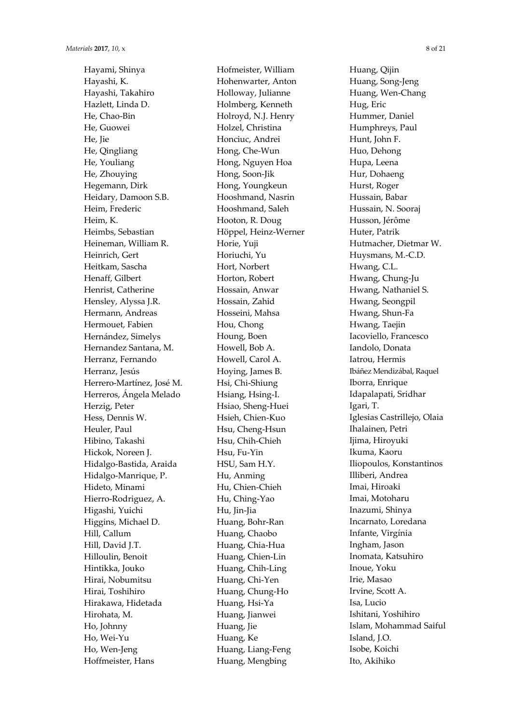Hayami, Shinya Hayashi, K. Hayashi, Takahiro Hazlett, Linda D. He, Chao-Bin He, Guowei He, Jie He, Qingliang He, Youliang He, Zhouying Hegemann, Dirk Heidary, Damoon S.B. Heim, Frederic Heim, K. Heimbs, Sebastian Heineman, William R. Heinrich, Gert Heitkam, Sascha Henaff, Gilbert Henrist, Catherine Hensley, Alyssa J.R. Hermann, Andreas Hermouet, Fabien Hernández, Simelys Hernandez Santana, M. Herranz, Fernando Herranz, Jesús Herrero-Martínez, José M. Herreros, Ángela Melado Herzig, Peter Hess, Dennis W. Heuler, Paul Hibino, Takashi Hickok, Noreen J. Hidalgo-Bastida, Araida Hidalgo-Manrique, P. Hideto, Minami Hierro-Rodriguez, A. Higashi, Yuichi Higgins, Michael D. Hill, Callum Hill, David J.T. Hilloulin, Benoit Hintikka, Jouko Hirai, Nobumitsu Hirai, Toshihiro Hirakawa, Hidetada Hirohata, M. Ho, Johnny Ho, Wei-Yu Ho, Wen-Jeng Hoffmeister, Hans

Hofmeister, William Hohenwarter, Anton Holloway, Julianne Holmberg, Kenneth Holroyd, N.J. Henry Holzel, Christina Honciuc, Andrei Hong, Che-Wun Hong, Nguyen Hoa Hong, Soon-Jik Hong, Youngkeun Hooshmand, Nasrin Hooshmand, Saleh Hooton, R. Doug Höppel, Heinz-Werner Horie, Yuji Horiuchi, Yu Hort, Norbert Horton, Robert Hossain, Anwar Hossain, Zahid Hosseini, Mahsa Hou, Chong Houng, Boen Howell, Bob A. Howell, Carol A. Hoying, James B. Hsi, Chi-Shiung Hsiang, Hsing-I. Hsiao, Sheng-Huei Hsieh, Chien-Kuo Hsu, Cheng-Hsun Hsu, Chih-Chieh Hsu, Fu-Yin HSU, Sam H.Y. Hu, Anming Hu, Chien-Chieh Hu, Ching-Yao Hu, Jin-Jia Huang, Bohr-Ran Huang, Chaobo Huang, Chia-Hua Huang, Chien-Lin Huang, Chih-Ling Huang, Chi-Yen Huang, Chung-Ho Huang, Hsi-Ya Huang, Jianwei Huang, Jie Huang, Ke Huang, Liang-Feng Huang, Mengbing

Huang, Qijin Huang, Song-Jeng Huang, Wen-Chang Hug, Eric Hummer, Daniel Humphreys, Paul Hunt, John F. Huo, Dehong Hupa, Leena Hur, Dohaeng Hurst, Roger Hussain, Babar Hussain, N. Sooraj Husson, Jérôme Huter, Patrik Hutmacher, Dietmar W. Huysmans, M.-C.D. Hwang, C.L. Hwang, Chung-Ju Hwang, Nathaniel S. Hwang, Seongpil Hwang, Shun-Fa Hwang, Taejin Iacoviello, Francesco Iandolo, Donata Iatrou, Hermis Ibáñez Mendizábal, Raquel Iborra, Enrique Idapalapati, Sridhar Igari, T. Iglesias Castrillejo, Olaia Ihalainen, Petri Ijima, Hiroyuki Ikuma, Kaoru Iliopoulos, Konstantinos Illiberi, Andrea Imai, Hiroaki Imai, Motoharu Inazumi, Shinya Incarnato, Loredana Infante, Virgínia Ingham, Jason Inomata, Katsuhiro Inoue, Yoku Irie, Masao Irvine, Scott A. Isa, Lucio Ishitani, Yoshihiro Islam, Mohammad Saiful Island, J.O. Isobe, Koichi Ito, Akihiko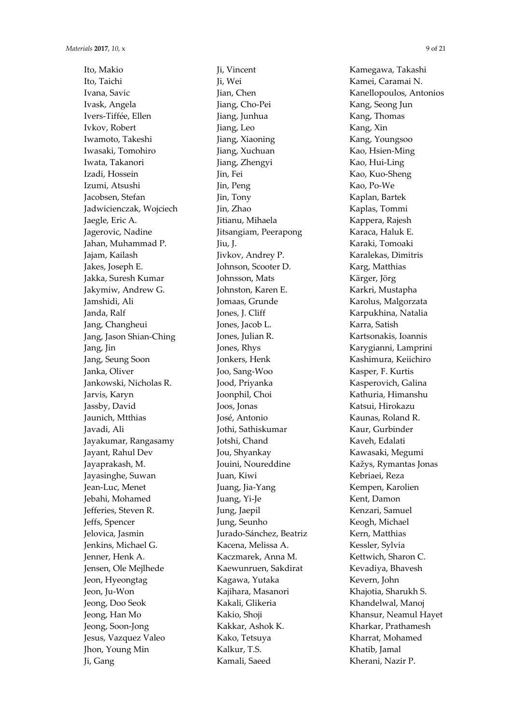Ito, Makio Ito, Taichi Ivana, Savic Ivask, Angela Ivers-Tiffée, Ellen Ivkov, Robert Iwamoto, Takeshi Iwasaki, Tomohiro Iwata, Takanori Izadi, Hossein Izumi, Atsushi Jacobsen, Stefan Jadwicienczak, Wojciech Jaegle, Eric A. Jagerovic, Nadine Jahan, Muhammad P. Jajam, Kailash Jakes, Joseph E. Jakka, Suresh Kumar Jakymiw, Andrew G. Jamshidi, Ali Janda, Ralf Jang, Changheui Jang, Jason Shian-Ching Jang, Jin Jang, Seung Soon Janka, Oliver Jankowski, Nicholas R. Jarvis, Karyn Jassby, David Jaunich, Mtthias Javadi, Ali Jayakumar, Rangasamy Jayant, Rahul Dev Jayaprakash, M. Jayasinghe, Suwan Jean-Luc, Menet Jebahi, Mohamed Jefferies, Steven R. Jeffs, Spencer Jelovica, Jasmin Jenkins, Michael G. Jenner, Henk A. Jensen, Ole Mejlhede Jeon, Hyeongtag Jeon, Ju-Won Jeong, Doo Seok Jeong, Han Mo Jeong, Soon-Jong Jesus, Vazquez Valeo Jhon, Young Min Ji, Gang

Ji, Vincent Ji, Wei Jian, Chen Jiang, Cho-Pei Jiang, Junhua Jiang, Leo Jiang, Xiaoning Jiang, Xuchuan Jiang, Zhengyi Jin, Fei Jin, Peng Jin, Tony Jin, Zhao Jitianu, Mihaela Jitsangiam, Peerapong Jiu, J. Jivkov, Andrey P. Johnson, Scooter D. Johnsson, Mats Johnston, Karen E. Jomaas, Grunde Jones, J. Cliff Jones, Jacob L. Jones, Julian R. Jones, Rhys Jonkers, Henk Joo, Sang-Woo Jood, Priyanka Joonphil, Choi Joos, Jonas José, Antonio Jothi, Sathiskumar Jotshi, Chand Jou, Shyankay Jouini, Noureddine Juan, Kiwi Juang, Jia-Yang Juang, Yi-Je Jung, Jaepil Jung, Seunho Jurado-Sánchez, Beatriz Kacena, Melissa A. Kaczmarek, Anna M. Kaewunruen, Sakdirat Kagawa, Yutaka Kajihara, Masanori Kakali, Glikeria Kakio, Shoji Kakkar, Ashok K. Kako, Tetsuya Kalkur, T.S. Kamali, Saeed

Kamegawa, Takashi Kamei, Caramai N. Kanellopoulos, Antonios Kang, Seong Jun Kang, Thomas Kang, Xin Kang, Youngsoo Kao, Hsien-Ming Kao, Hui-Ling Kao, Kuo-Sheng Kao, Po-We Kaplan, Bartek Kaplas, Tommi Kappera, Rajesh Karaca, Haluk E. Karaki, Tomoaki Karalekas, Dimitris Karg, Matthias Kärger, Jörg Karkri, Mustapha Karolus, Malgorzata Karpukhina, Natalia Karra, Satish Kartsonakis, Ioannis Karygianni, Lamprini Kashimura, Keiichiro Kasper, F. Kurtis Kasperovich, Galina Kathuria, Himanshu Katsui, Hirokazu Kaunas, Roland R. Kaur, Gurbinder Kaveh, Edalati Kawasaki, Megumi Kažys, Rymantas Jonas Kebriaei, Reza Kempen, Karolien Kent, Damon Kenzari, Samuel Keogh, Michael Kern, Matthias Kessler, Sylvia Kettwich, Sharon C. Kevadiya, Bhavesh Kevern, John Khajotia, Sharukh S. Khandelwal, Manoj Khansur, Neamul Hayet Kharkar, Prathamesh Kharrat, Mohamed Khatib, Jamal Kherani, Nazir P.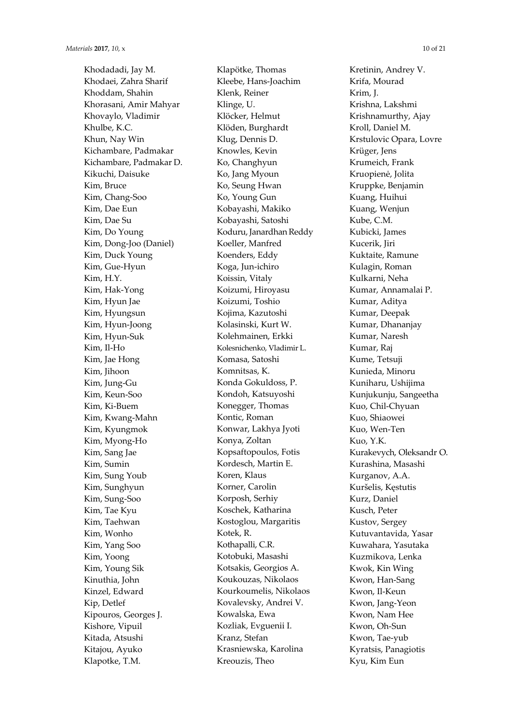Khodadadi, Jay M. Khodaei, Zahra Sharif Khoddam, Shahin Khorasani, Amir Mahyar Khovaylo, Vladimir Khulbe, K.C. Khun, Nay Win Kichambare, Padmakar Kichambare, Padmakar D. Kikuchi, Daisuke Kim, Bruce Kim, Chang-Soo Kim, Dae Eun Kim, Dae Su Kim, Do Young Kim, Dong-Joo (Daniel) Kim, Duck Young Kim, Gue-Hyun Kim, H.Y. Kim, Hak-Yong Kim, Hyun Jae Kim, Hyungsun Kim, Hyun-Joong Kim, Hyun-Suk Kim, Il-Ho Kim, Jae Hong Kim, Jihoon Kim, Jung-Gu Kim, Keun-Soo Kim, Ki-Buem Kim, Kwang-Mahn Kim, Kyungmok Kim, Myong-Ho Kim, Sang Jae Kim, Sumin Kim, Sung Youb Kim, Sunghyun Kim, Sung-Soo Kim, Tae Kyu Kim, Taehwan Kim, Wonho Kim, Yang Soo Kim, Yoong Kim, Young Sik Kinuthia, John Kinzel, Edward Kip, Detlef Kipouros, Georges J. Kishore, Vipuil Kitada, Atsushi Kitajou, Ayuko Klapotke, T.M.

Klapötke, Thomas Kleebe, Hans-Joachim Klenk, Reiner Klinge, U. Klöcker, Helmut Klöden, Burghardt Klug, Dennis D. Knowles, Kevin Ko, Changhyun Ko, Jang Myoun Ko, Seung Hwan Ko, Young Gun Kobayashi, Makiko Kobayashi, Satoshi Koduru, Janardhan Reddy Koeller, Manfred Koenders, Eddy Koga, Jun-ichiro Koissin, Vitaly Koizumi, Hiroyasu Koizumi, Toshio Kojima, Kazutoshi Kolasinski, Kurt W. Kolehmainen, Erkki Kolesnichenko, Vladimir L. Komasa, Satoshi Komnitsas, K. Konda Gokuldoss, P. Kondoh, Katsuyoshi Konegger, Thomas Kontic, Roman Konwar, Lakhya Jyoti Konya, Zoltan Kopsaftopoulos, Fotis Kordesch, Martin E. Koren, Klaus Korner, Carolin Korposh, Serhiy Koschek, Katharina Kostoglou, Margaritis Kotek, R. Kothapalli, C.R. Kotobuki, Masashi Kotsakis, Georgios A. Koukouzas, Nikolaos Kourkoumelis, Nikolaos Kovalevsky, Andrei V. Kowalska, Ewa Kozliak, Evguenii I. Kranz, Stefan Krasniewska, Karolina Kreouzis, Theo

Kretinin, Andrey V. Krifa, Mourad Krim, J. Krishna, Lakshmi Krishnamurthy, Ajay Kroll, Daniel M. Krstulovic Opara, Lovre Krüger, Jens Krumeich, Frank Kruopienė, Jolita Kruppke, Benjamin Kuang, Huihui Kuang, Wenjun Kube, C.M. Kubicki, James Kucerik, Jiri Kuktaite, Ramune Kulagin, Roman Kulkarni, Neha Kumar, Annamalai P. Kumar, Aditya Kumar, Deepak Kumar, Dhananjay Kumar, Naresh Kumar, Raj Kume, Tetsuji Kunieda, Minoru Kuniharu, Ushijima Kunjukunju, Sangeetha Kuo, Chil-Chyuan Kuo, Shiaowei Kuo, Wen-Ten Kuo, Y.K. Kurakevych, Oleksandr O. Kurashina, Masashi Kurganov, A.A. Kuršelis, Kęstutis Kurz, Daniel Kusch, Peter Kustov, Sergey Kutuvantavida, Yasar Kuwahara, Yasutaka Kuzmikova, Lenka Kwok, Kin Wing Kwon, Han-Sang Kwon, Il-Keun Kwon, Jang-Yeon Kwon, Nam Hee Kwon, Oh-Sun Kwon, Tae-yub Kyratsis, Panagiotis Kyu, Kim Eun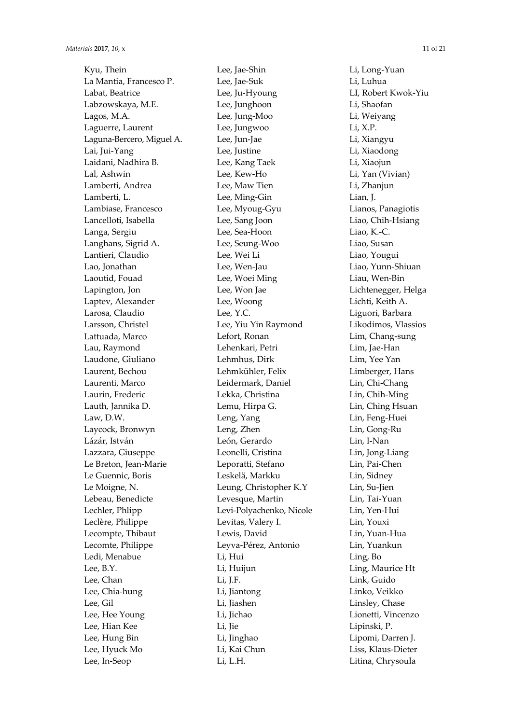Kyu, Thein La Mantia, Francesco P. Labat, Beatrice Labzowskaya, M.E. Lagos, M.A. Laguerre, Laurent Laguna-Bercero, Miguel A. Lai, Jui-Yang Laidani, Nadhira B. Lal, Ashwin Lamberti, Andrea Lamberti, L. Lambiase, Francesco Lancelloti, Isabella Langa, Sergiu Langhans, Sigrid A. Lantieri, Claudio Lao, Jonathan Laoutid, Fouad Lapington, Jon Laptev, Alexander Larosa, Claudio Larsson, Christel Lattuada, Marco Lau, Raymond Laudone, Giuliano Laurent, Bechou Laurenti, Marco Laurin, Frederic Lauth, Jannika D. Law, D.W. Laycock, Bronwyn Lázár, István Lazzara, Giuseppe Le Breton, Jean-Marie Le Guennic, Boris Le Moigne, N. Lebeau, Benedicte Lechler, Phlipp Leclère, Philippe Lecompte, Thibaut Lecomte, Philippe Ledi, Menabue Lee, B.Y. Lee, Chan Lee, Chia-hung Lee, Gil Lee, Hee Young Lee, Hian Kee Lee, Hung Bin Lee, Hyuck Mo Lee, In-Seop

Lee, Jae-Shin Lee, Jae-Suk Lee, Ju-Hyoung Lee, Junghoon Lee, Jung-Moo Lee, Jungwoo Lee, Jun-Jae Lee, Justine Lee, Kang Taek Lee, Kew-Ho Lee, Maw Tien Lee, Ming-Gin Lee, Myoug-Gyu Lee, Sang Joon Lee, Sea-Hoon Lee, Seung-Woo Lee, Wei Li Lee, Wen-Jau Lee, Woei Ming Lee, Won Jae Lee, Woong Lee, Y.C. Lee, Yiu Yin Raymond Lefort, Ronan Lehenkari, Petri Lehmhus, Dirk Lehmkühler, Felix Leidermark, Daniel Lekka, Christina Lemu, Hirpa G. Leng, Yang Leng, Zhen León, Gerardo Leonelli, Cristina Leporatti, Stefano Leskelä, Markku Leung, Christopher K.Y Levesque, Martin Levi-Polyachenko, Nicole Levitas, Valery I. Lewis, David Leyva-Pérez, Antonio Li, Hui Li, Huijun Li, J.F. Li, Jiantong Li, Jiashen Li, Jichao Li, Jie Li, Jinghao Li, Kai Chun Li, L.H.

Li, Long-Yuan Li, Luhua LI, Robert Kwok-Yiu Li, Shaofan Li, Weiyang Li, X.P. Li, Xiangyu Li, Xiaodong Li, Xiaojun Li, Yan (Vivian) Li, Zhanjun Lian, J. Lianos, Panagiotis Liao, Chih-Hsiang Liao, K.-C. Liao, Susan Liao, Yougui Liao, Yunn-Shiuan Liau, Wen-Bin Lichtenegger, Helga Lichti, Keith A. Liguori, Barbara Likodimos, Vlassios Lim, Chang-sung Lim, Jae-Han Lim, Yee Yan Limberger, Hans Lin, Chi-Chang Lin, Chih-Ming Lin, Ching Hsuan Lin, Feng-Huei Lin, Gong-Ru Lin, I-Nan Lin, Jong-Liang Lin, Pai-Chen Lin, Sidney Lin, Su-Jien Lin, Tai-Yuan Lin, Yen-Hui Lin, Youxi Lin, Yuan-Hua Lin, Yuankun Ling, Bo Ling, Maurice Ht Link, Guido Linko, Veikko Linsley, Chase Lionetti, Vincenzo Lipinski, P. Lipomi, Darren J. Liss, Klaus-Dieter Litina, Chrysoula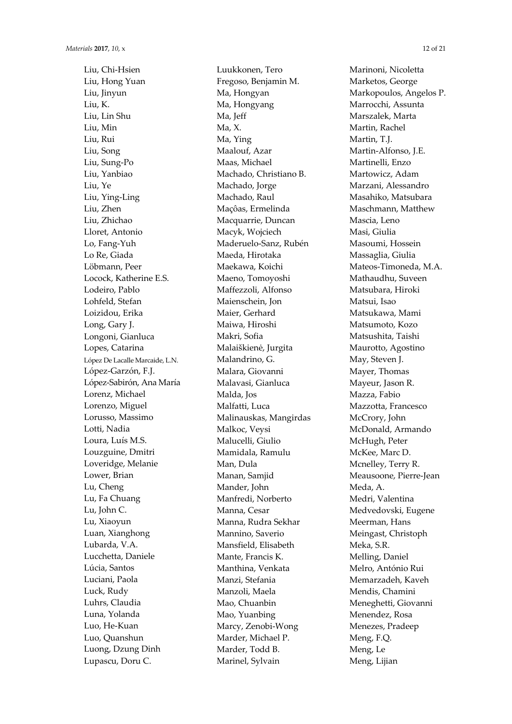Liu, Chi-Hsien Liu, Hong Yuan Liu, Jinyun Liu, K. Liu, Lin Shu Liu, Min Liu, Rui Liu, Song Liu, Sung-Po Liu, Yanbiao Liu, Ye Liu, Ying-Ling Liu, Zhen Liu, Zhichao Lloret, Antonio Lo, Fang-Yuh Lo Re, Giada Löbmann, Peer Locock, Katherine E.S. Lodeiro, Pablo Lohfeld, Stefan Loizidou, Erika Long, Gary J. Longoni, Gianluca Lopes, Catarina López De Lacalle Marcaide, L.N. López-Garzón, F.J. López-Sabirón, Ana María Lorenz, Michael Lorenzo, Miguel Lorusso, Massimo Lotti, Nadia Loura, Luís M.S. Louzguine, Dmitri Loveridge, Melanie Lower, Brian Lu, Cheng Lu, Fa Chuang Lu, John C. Lu, Xiaoyun Luan, Xianghong Lubarda, V.A. Lucchetta, Daniele Lúcia, Santos Luciani, Paola Luck, Rudy Luhrs, Claudia Luna, Yolanda Luo, He-Kuan Luo, Quanshun Luong, Dzung Dinh Lupascu, Doru C.

Luukkonen, Tero Fregoso, Benjamin M. Ma, Hongyan Ma, Hongyang Ma, Jeff Ma, X. Ma, Ying Maalouf, Azar Maas, Michael Machado, Christiano B. Machado, Jorge Machado, Raul Maçôas, Ermelinda Macquarrie, Duncan Macyk, Wojciech Maderuelo-Sanz, Rubén Maeda, Hirotaka Maekawa, Koichi Maeno, Tomoyoshi Maffezzoli, Alfonso Maienschein, Jon Maier, Gerhard Maiwa, Hiroshi Makri, Sofia Malaiškienė, Jurgita Malandrino, G. Malara, Giovanni Malavasi, Gianluca Malda, Jos Malfatti, Luca Malinauskas, Mangirdas Malkoc, Veysi Malucelli, Giulio Mamidala, Ramulu Man, Dula Manan, Samjid Mander, John Manfredi, Norberto Manna, Cesar Manna, Rudra Sekhar Mannino, Saverio Mansfield, Elisabeth Mante, Francis K. Manthina, Venkata Manzi, Stefania Manzoli, Maela Mao, Chuanbin Mao, Yuanbing Marcy, Zenobi-Wong Marder, Michael P. Marder, Todd B. Marinel, Sylvain

Marinoni, Nicoletta Marketos, George Markopoulos, Angelos P. Marrocchi, Assunta Marszalek, Marta Martin, Rachel Martin, T.J. Martin-Alfonso, J.E. Martinelli, Enzo Martowicz, Adam Marzani, Alessandro Masahiko, Matsubara Maschmann, Matthew Mascia, Leno Masi, Giulia Masoumi, Hossein Massaglia, Giulia Mateos-Timoneda, M.A. Mathaudhu, Suveen Matsubara, Hiroki Matsui, Isao Matsukawa, Mami Matsumoto, Kozo Matsushita, Taishi Maurotto, Agostino May, Steven J. Mayer, Thomas Mayeur, Jason R. Mazza, Fabio Mazzotta, Francesco McCrory, John McDonald, Armando McHugh, Peter McKee, Marc D. Mcnelley, Terry R. Meausoone, Pierre-Jean Meda, A. Medri, Valentina Medvedovski, Eugene Meerman, Hans Meingast, Christoph Meka, S.R. Melling, Daniel Melro, António Rui Memarzadeh, Kaveh Mendis, Chamini Meneghetti, Giovanni Menendez, Rosa Menezes, Pradeep Meng, F.Q. Meng, Le Meng, Lijian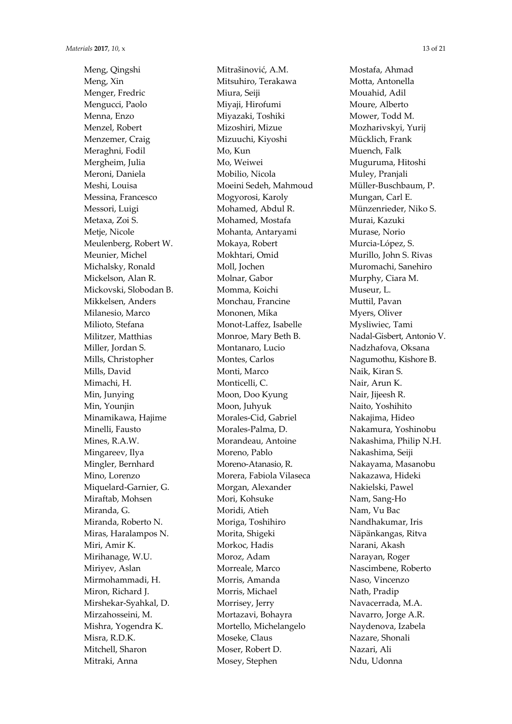Meng, Qingshi Meng, Xin Menger, Fredric Mengucci, Paolo Menna, Enzo Menzel, Robert Menzemer, Craig Meraghni, Fodil Mergheim, Julia Meroni, Daniela Meshi, Louisa Messina, Francesco Messori, Luigi Metaxa, Zoi S. Metje, Nicole Meulenberg, Robert W. Meunier, Michel Michalsky, Ronald Mickelson, Alan R. Mickovski, Slobodan B. Mikkelsen, Anders Milanesio, Marco Milioto, Stefana Militzer, Matthias Miller, Jordan S. Mills, Christopher Mills, David Mimachi, H. Min, Junying Min, Younjin Minamikawa, Hajime Minelli, Fausto Mines, R.A.W. Mingareev, Ilya Mingler, Bernhard Mino, Lorenzo Miquelard-Garnier, G. Miraftab, Mohsen Miranda, G. Miranda, Roberto N. Miras, Haralampos N. Miri, Amir K. Mirihanage, W.U. Miriyev, Aslan Mirmohammadi, H. Miron, Richard J. Mirshekar-Syahkal, D. Mirzahosseini, M. Mishra, Yogendra K. Misra, R.D.K. Mitchell, Sharon Mitraki, Anna

Mitrašinović, A.M. Mitsuhiro, Terakawa Miura, Seiji Miyaji, Hirofumi Miyazaki, Toshiki Mizoshiri, Mizue Mizuuchi, Kiyoshi Mo, Kun Mo, Weiwei Mobilio, Nicola Moeini Sedeh, Mahmoud Mogyorosi, Karoly Mohamed, Abdul R. Mohamed, Mostafa Mohanta, Antaryami Mokaya, Robert Mokhtari, Omid Moll, Jochen Molnar, Gabor Momma, Koichi Monchau, Francine Mononen, Mika Monot-Laffez, Isabelle Monroe, Mary Beth B. Montanaro, Lucio Montes, Carlos Monti, Marco Monticelli, C. Moon, Doo Kyung Moon, Juhyuk Morales-Cid, Gabriel Morales-Palma, D. Morandeau, Antoine Moreno, Pablo Moreno-Atanasio, R. Morera, Fabiola Vilaseca Morgan, Alexander Mori, Kohsuke Moridi, Atieh Moriga, Toshihiro Morita, Shigeki Morkoc, Hadis Moroz, Adam Morreale, Marco Morris, Amanda Morris, Michael Morrisey, Jerry Mortazavi, Bohayra Mortello, Michelangelo Moseke, Claus Moser, Robert D. Mosey, Stephen

Mostafa, Ahmad Motta, Antonella Mouahid, Adil Moure, Alberto Mower, Todd M. Mozharivskyi, Yurij Mücklich, Frank Muench, Falk Muguruma, Hitoshi Muley, Pranjali Müller-Buschbaum, P. Mungan, Carl E. Münzenrieder, Niko S. Murai, Kazuki Murase, Norio Murcia-López, S. Murillo, John S. Rivas Muromachi, Sanehiro Murphy, Ciara M. Museur, L. Muttil, Pavan Myers, Oliver Mysliwiec, Tami Nadal-Gisbert, Antonio V. Nadzhafova, Oksana Nagumothu, Kishore B. Naik, Kiran S. Nair, Arun K. Nair, Jijeesh R. Naito, Yoshihito Nakajima, Hideo Nakamura, Yoshinobu Nakashima, Philip N.H. Nakashima, Seiji Nakayama, Masanobu Nakazawa, Hideki Nakielski, Pawel Nam, Sang-Ho Nam, Vu Bac Nandhakumar, Iris Näpänkangas, Ritva Narani, Akash Narayan, Roger Nascimbene, Roberto Naso, Vincenzo Nath, Pradip Navacerrada, M.A. Navarro, Jorge A.R. Naydenova, Izabela Nazare, Shonali Nazari, Ali Ndu, Udonna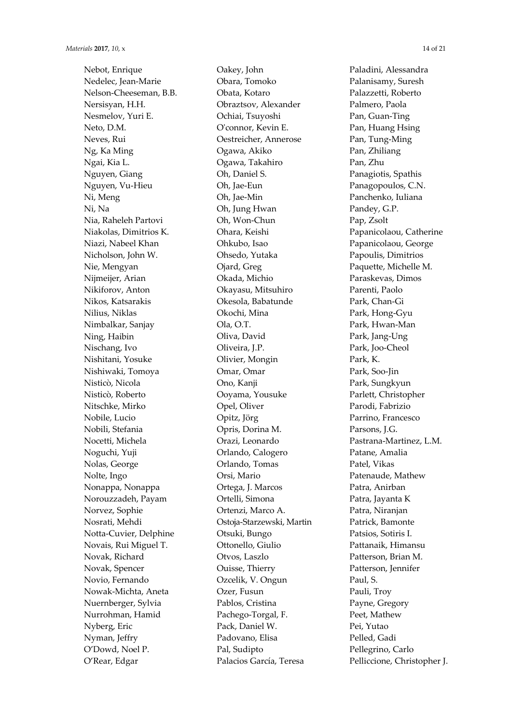Nebot, Enrique Nedelec, Jean-Marie Nelson-Cheeseman, B.B. Nersisyan, H.H. Nesmelov, Yuri E. Neto, D.M. Neves, Rui Ng, Ka Ming Ngai, Kia L. Nguyen, Giang Nguyen, Vu-Hieu Ni, Meng Ni, Na Nia, Raheleh Partovi Niakolas, Dimitrios K. Niazi, Nabeel Khan Nicholson, John W. Nie, Mengyan Nijmeijer, Arian Nikiforov, Anton Nikos, Katsarakis Nilius, Niklas Nimbalkar, Sanjay Ning, Haibin Nischang, Ivo Nishitani, Yosuke Nishiwaki, Tomoya Nisticò, Nicola Nisticò, Roberto Nitschke, Mirko Nobile, Lucio Nobili, Stefania Nocetti, Michela Noguchi, Yuji Nolas, George Nolte, Ingo Nonappa, Nonappa Norouzzadeh, Payam Norvez, Sophie Nosrati, Mehdi Notta-Cuvier, Delphine Novais, Rui Miguel T. Novak, Richard Novak, Spencer Novio, Fernando Nowak-Michta, Aneta Nuernberger, Sylvia Nurrohman, Hamid Nyberg, Eric Nyman, Jeffry O'Dowd, Noel P. O'Rear, Edgar

Oakey, John Obara, Tomoko Obata, Kotaro Obraztsov, Alexander Ochiai, Tsuyoshi O'connor, Kevin E. Oestreicher, Annerose Ogawa, Akiko Ogawa, Takahiro Oh, Daniel S. Oh, Jae-Eun Oh, Jae-Min Oh, Jung Hwan Oh, Won-Chun Ohara, Keishi Ohkubo, Isao Ohsedo, Yutaka Ojard, Greg Okada, Michio Okayasu, Mitsuhiro Okesola, Babatunde Okochi, Mina Ola, O.T. Oliva, David Oliveira, J.P. Olivier, Mongin Omar, Omar Ono, Kanji Ooyama, Yousuke Opel, Oliver Opitz, Jörg Opris, Dorina M. Orazi, Leonardo Orlando, Calogero Orlando, Tomas Orsi, Mario Ortega, J. Marcos Ortelli, Simona Ortenzi, Marco A. Ostoja-Starzewski, Martin Otsuki, Bungo Ottonello, Giulio Otvos, Laszlo Ouisse, Thierry Ozcelik, V. Ongun Ozer, Fusun Pablos, Cristina Pachego-Torgal, F. Pack, Daniel W. Padovano, Elisa Pal, Sudipto Palacios García, Teresa

Paladini, Alessandra Palanisamy, Suresh Palazzetti, Roberto Palmero, Paola Pan, Guan-Ting Pan, Huang Hsing Pan, Tung-Ming Pan, Zhiliang Pan, Zhu Panagiotis, Spathis Panagopoulos, C.N. Panchenko, Iuliana Pandey, G.P. Pap, Zsolt Papanicolaou, Catherine Papanicolaou, George Papoulis, Dimitrios Paquette, Michelle M. Paraskevas, Dimos Parenti, Paolo Park, Chan-Gi Park, Hong-Gyu Park, Hwan-Man Park, Jang-Ung Park, Joo-Cheol Park, K. Park, Soo-Jin Park, Sungkyun Parlett, Christopher Parodi, Fabrizio Parrino, Francesco Parsons, I.G. Pastrana-Martinez, L.M. Patane, Amalia Patel, Vikas Patenaude, Mathew Patra, Anirban Patra, Jayanta K Patra, Niranjan Patrick, Bamonte Patsios, Sotiris I. Pattanaik, Himansu Patterson, Brian M. Patterson, Jennifer Paul, S. Pauli, Troy Payne, Gregory Peet, Mathew Pei, Yutao Pelled, Gadi Pellegrino, Carlo Pelliccione, Christopher J.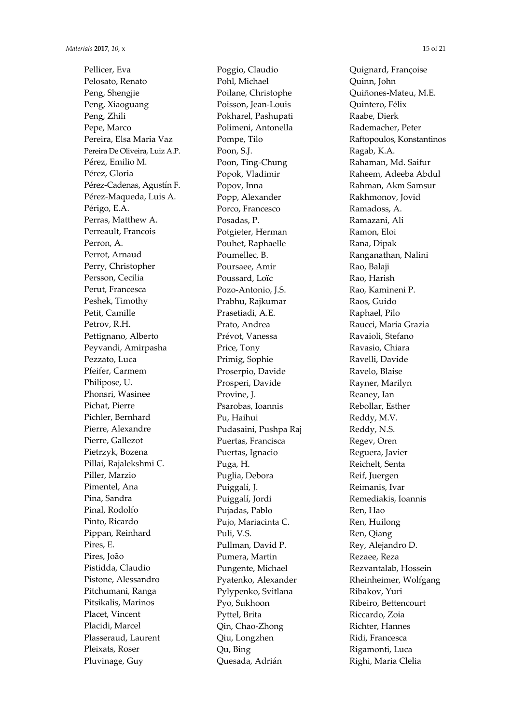Pellicer, Eva Pelosato, Renato Peng, Shengjie Peng, Xiaoguang Peng, Zhili Pepe, Marco Pereira, Elsa Maria Vaz Pereira De Oliveira, Luiz A.P. Pérez, Emilio M. Pérez, Gloria Pérez-Cadenas, Agustín F. Pérez-Maqueda, Luis A. Périgo, E.A. Perras, Matthew A. Perreault, Francois Perron, A. Perrot, Arnaud Perry, Christopher Persson, Cecilia Perut, Francesca Peshek, Timothy Petit, Camille Petrov, R.H. Pettignano, Alberto Peyvandi, Amirpasha Pezzato, Luca Pfeifer, Carmem Philipose, U. Phonsri, Wasinee Pichat, Pierre Pichler, Bernhard Pierre, Alexandre Pierre, Gallezot Pietrzyk, Bozena Pillai, Rajalekshmi C. Piller, Marzio Pimentel, Ana Pina, Sandra Pinal, Rodolfo Pinto, Ricardo Pippan, Reinhard Pires, E. Pires, João Pistidda, Claudio Pistone, Alessandro Pitchumani, Ranga Pitsikalis, Marinos Placet, Vincent Placidi, Marcel Plasseraud, Laurent Pleixats, Roser Pluvinage, Guy

Poggio, Claudio Pohl, Michael Poilane, Christophe Poisson, Jean-Louis Pokharel, Pashupati Polimeni, Antonella Pompe, Tilo Poon, S.J. Poon, Ting-Chung Popok, Vladimir Popov, Inna Popp, Alexander Porco, Francesco Posadas, P. Potgieter, Herman Pouhet, Raphaelle Poumellec, B. Poursaee, Amir Poussard, Loïc Pozo-Antonio, J.S. Prabhu, Rajkumar Prasetiadi, A.E. Prato, Andrea Prévot, Vanessa Price, Tony Primig, Sophie Proserpio, Davide Prosperi, Davide Provine, J. Psarobas, Ioannis Pu, Haihui Pudasaini, Pushpa Raj Puertas, Francisca Puertas, Ignacio Puga, H. Puglia, Debora Puiggalí, J. Puiggalí, Jordi Pujadas, Pablo Pujo, Mariacinta C. Puli, V.S. Pullman, David P. Pumera, Martin Pungente, Michael Pyatenko, Alexander Pylypenko, Svitlana Pyo, Sukhoon Pyttel, Brita Qin, Chao-Zhong Qiu, Longzhen Qu, Bing Quesada, Adrián

Quignard, Françoise Quinn, John Quiñones-Mateu, M.E. Quintero, Félix Raabe, Dierk Rademacher, Peter Raftopoulos, Konstantinos Ragab, K.A. Rahaman, Md. Saifur Raheem, Adeeba Abdul Rahman, Akm Samsur Rakhmonov, Jovid Ramadoss, A. Ramazani, Ali Ramon, Eloi Rana, Dipak Ranganathan, Nalini Rao, Balaji Rao, Harish Rao, Kamineni P. Raos, Guido Raphael, Pilo Raucci, Maria Grazia Ravaioli, Stefano Ravasio, Chiara Ravelli, Davide Ravelo, Blaise Rayner, Marilyn Reaney, Ian Rebollar, Esther Reddy, M.V. Reddy, N.S. Regev, Oren Reguera, Javier Reichelt, Senta Reif, Juergen Reimanis, Ivar Remediakis, Ioannis Ren, Hao Ren, Huilong Ren, Qiang Rey, Alejandro D. Rezaee, Reza Rezvantalab, Hossein Rheinheimer, Wolfgang Ribakov, Yuri Ribeiro, Bettencourt Riccardo, Zoia Richter, Hannes Ridi, Francesca Rigamonti, Luca Righi, Maria Clelia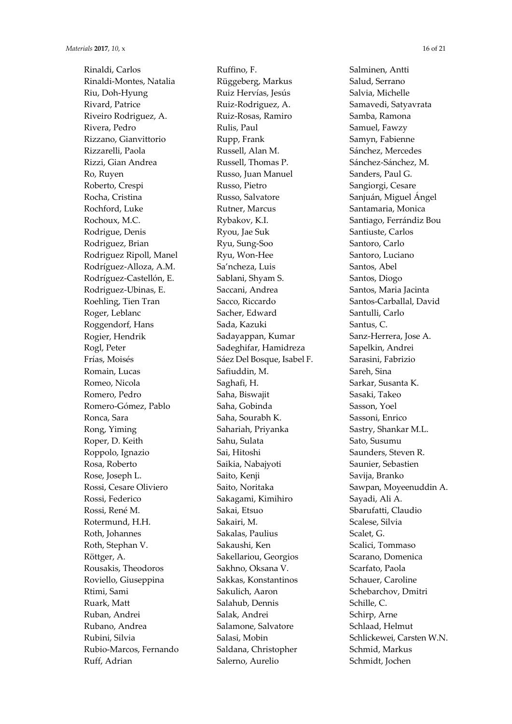Rinaldi, Carlos Rinaldi-Montes, Natalia Riu, Doh-Hyung Rivard, Patrice Riveiro Rodriguez, A. Rivera, Pedro Rizzano, Gianvittorio Rizzarelli, Paola Rizzi, Gian Andrea Ro, Ruyen Roberto, Crespi Rocha, Cristina Rochford, Luke Rochoux, M.C. Rodrigue, Denis Rodriguez, Brian Rodriguez Ripoll, Manel Rodríguez-Alloza, A.M. Rodríguez-Castellón, E. Rodriguez-Ubinas, E. Roehling, Tien Tran Roger, Leblanc Roggendorf, Hans Rogier, Hendrik Rogl, Peter Frías, Moisés Romain, Lucas Romeo, Nicola Romero, Pedro Romero-Gómez, Pablo Ronca, Sara Rong, Yiming Roper, D. Keith Roppolo, Ignazio Rosa, Roberto Rose, Joseph L. Rossi, Cesare Oliviero Rossi, Federico Rossi, René M. Rotermund, H.H. Roth, Johannes Roth, Stephan V. Röttger, A. Rousakis, Theodoros Roviello, Giuseppina Rtimi, Sami Ruark, Matt Ruban, Andrei Rubano, Andrea Rubini, Silvia Rubio-Marcos, Fernando Ruff, Adrian

Ruffino, F. Rüggeberg, Markus Ruiz Hervías, Jesús Ruiz-Rodriguez, A. Ruiz-Rosas, Ramiro Rulis, Paul Rupp, Frank Russell, Alan M. Russell, Thomas P. Russo, Juan Manuel Russo, Pietro Russo, Salvatore Rutner, Marcus Rybakov, K.I. Ryou, Jae Suk Ryu, Sung-Soo Ryu, Won-Hee Sa'ncheza, Luis Sablani, Shyam S. Saccani, Andrea Sacco, Riccardo Sacher, Edward Sada, Kazuki Sadayappan, Kumar Sadeghifar, Hamidreza Sáez Del Bosque, Isabel F. Safiuddin, M. Saghafi, H. Saha, Biswajit Saha, Gobinda Saha, Sourabh K. Sahariah, Priyanka Sahu, Sulata Sai, Hitoshi Saikia, Nabajyoti Saito, Kenji Saito, Noritaka Sakagami, Kimihiro Sakai, Etsuo Sakairi, M. Sakalas, Paulius Sakaushi, Ken Sakellariou, Georgios Sakhno, Oksana V. Sakkas, Konstantinos Sakulich, Aaron Salahub, Dennis Salak, Andrei Salamone, Salvatore Salasi, Mobin Saldana, Christopher Salerno, Aurelio

Salminen, Antti Salud, Serrano Salvia, Michelle Samavedi, Satyavrata Samba, Ramona Samuel, Fawzy Samyn, Fabienne Sánchez, Mercedes Sánchez-Sánchez, M. Sanders, Paul G. Sangiorgi, Cesare Sanjuán, Miguel Ángel Santamaria, Monica Santiago, Ferrándiz Bou Santiuste, Carlos Santoro, Carlo Santoro, Luciano Santos, Abel Santos, Diogo Santos, Maria Jacinta Santos-Carballal, David Santulli, Carlo Santus, C. Sanz-Herrera, Jose A. Sapelkin, Andrei Sarasini, Fabrizio Sareh, Sina Sarkar, Susanta K. Sasaki, Takeo Sasson, Yoel Sassoni, Enrico Sastry, Shankar M.L. Sato, Susumu Saunders, Steven R. Saunier, Sebastien Savija, Branko Sawpan, Moyeenuddin A. Sayadi, Ali A. Sbarufatti, Claudio Scalese, Silvia Scalet, G. Scalici, Tommaso Scarano, Domenica Scarfato, Paola Schauer, Caroline Schebarchov, Dmitri Schille, C. Schirp, Arne Schlaad, Helmut Schlickewei, Carsten W.N. Schmid, Markus Schmidt, Jochen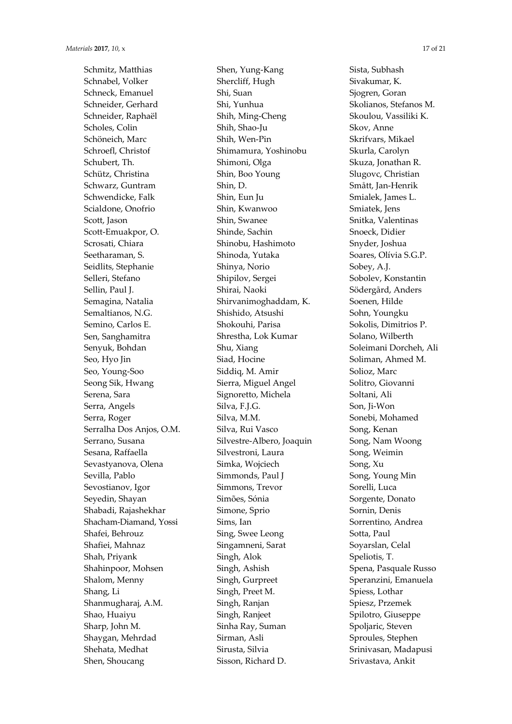Schmitz, Matthias Schnabel, Volker Schneck, Emanuel Schneider, Gerhard Schneider, Raphaël Scholes, Colin Schöneich, Marc Schroefl, Christof Schubert, Th. Schütz, Christina Schwarz, Guntram Schwendicke, Falk Scialdone, Onofrio Scott, Jason Scott-Emuakpor, O. Scrosati, Chiara Seetharaman, S. Seidlits, Stephanie Selleri, Stefano Sellin, Paul J. Semagina, Natalia Semaltianos, N.G. Semino, Carlos E. Sen, Sanghamitra Senyuk, Bohdan Seo, Hyo Jin Seo, Young-Soo Seong Sik, Hwang Serena, Sara Serra, Angels Serra, Roger Serralha Dos Anjos, O.M. Serrano, Susana Sesana, Raffaella Sevastyanova, Olena Sevilla, Pablo Sevostianov, Igor Seyedin, Shayan Shabadi, Rajashekhar Shacham-Diamand, Yossi Shafei, Behrouz Shafiei, Mahnaz Shah, Priyank Shahinpoor, Mohsen Shalom, Menny Shang, Li Shanmugharaj, A.M. Shao, Huaiyu Sharp, John M. Shaygan, Mehrdad Shehata, Medhat Shen, Shoucang

Shen, Yung-Kang Shercliff, Hugh Shi, Suan Shi, Yunhua Shih, Ming-Cheng Shih, Shao-Ju Shih, Wen-Pin Shimamura, Yoshinobu Shimoni, Olga Shin, Boo Young Shin, D. Shin, Eun Ju Shin, Kwanwoo Shin, Swanee Shinde, Sachin Shinobu, Hashimoto Shinoda, Yutaka Shinya, Norio Shipilov, Sergei Shirai, Naoki Shirvanimoghaddam, K. Shishido, Atsushi Shokouhi, Parisa Shrestha, Lok Kumar Shu, Xiang Siad, Hocine Siddiq, M. Amir Sierra, Miguel Angel Signoretto, Michela Silva, F.J.G. Silva, M.M. Silva, Rui Vasco Silvestre-Albero, Joaquin Silvestroni, Laura Simka, Wojciech Simmonds, Paul J Simmons, Trevor Simões, Sónia Simone, Sprio Sims, Ian Sing, Swee Leong Singamneni, Sarat Singh, Alok Singh, Ashish Singh, Gurpreet Singh, Preet M. Singh, Ranjan Singh, Ranjeet Sinha Ray, Suman Sirman, Asli Sirusta, Silvia Sisson, Richard D.

Sista, Subhash Sivakumar, K. Sjogren, Goran Skolianos, Stefanos M. Skoulou, Vassiliki K. Skov, Anne Skrifvars, Mikael Skurla, Carolyn Skuza, Jonathan R. Slugovc, Christian Smått, Jan-Henrik Smialek, James L. Smiatek, Jens Snitka, Valentinas Snoeck, Didier Snyder, Joshua Soares, Olívia S.G.P. Sobey, A.J. Sobolev, Konstantin Södergård, Anders Soenen, Hilde Sohn, Youngku Sokolis, Dimitrios P. Solano, Wilberth Soleimani Dorcheh, Ali Soliman, Ahmed M. Solioz, Marc Solitro, Giovanni Soltani, Ali Son, Ii-Won Sonebi, Mohamed Song, Kenan Song, Nam Woong Song, Weimin Song, Xu Song, Young Min Sorelli, Luca Sorgente, Donato Sornin, Denis Sorrentino, Andrea Sotta, Paul Soyarslan, Celal Speliotis, T. Spena, Pasquale Russo Speranzini, Emanuela Spiess, Lothar Spiesz, Przemek Spilotro, Giuseppe Spoljaric, Steven Sproules, Stephen Srinivasan, Madapusi Srivastava, Ankit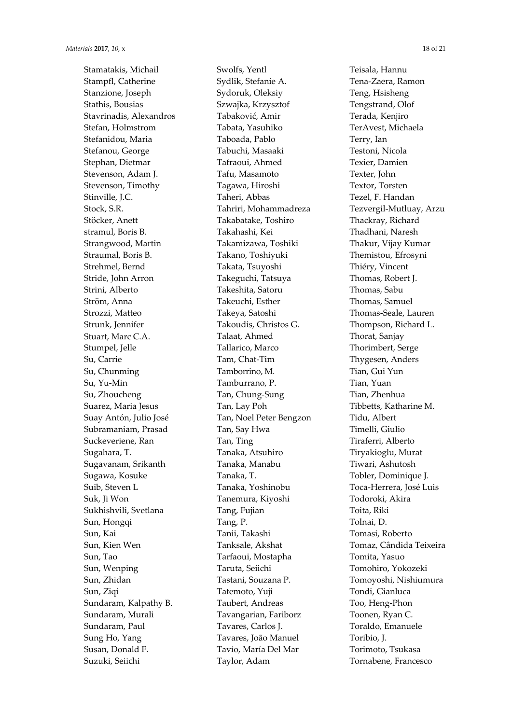Stamatakis, Michail Stampfl, Catherine Stanzione, Joseph Stathis, Bousias Stavrinadis, Alexandros Stefan, Holmstrom Stefanidou, Maria Stefanou, George Stephan, Dietmar Stevenson, Adam J. Stevenson, Timothy Stinville, J.C. Stock, S.R. Stöcker, Anett stramul, Boris B. Strangwood, Martin Straumal, Boris B. Strehmel, Bernd Stride, John Arron Strini, Alberto Ström, Anna Strozzi, Matteo Strunk, Jennifer Stuart, Marc C.A. Stumpel, Jelle Su, Carrie Su, Chunming Su, Yu-Min Su, Zhoucheng Suarez, Maria Jesus Suay Antón, Julio José Subramaniam, Prasad Suckeveriene, Ran Sugahara, T. Sugavanam, Srikanth Sugawa, Kosuke Suib, Steven L Suk, Ji Won Sukhishvili, Svetlana Sun, Hongqi Sun, Kai Sun, Kien Wen Sun, Tao Sun, Wenping Sun, Zhidan Sun, Ziqi Sundaram, Kalpathy B. Sundaram, Murali Sundaram, Paul Sung Ho, Yang Susan, Donald F. Suzuki, Seiichi

Swolfs, Yentl Sydlik, Stefanie A. Sydoruk, Oleksiy Szwajka, Krzysztof Tabaković, Amir Tabata, Yasuhiko Taboada, Pablo Tabuchi, Masaaki Tafraoui, Ahmed Tafu, Masamoto Tagawa, Hiroshi Taheri, Abbas Tahriri, Mohammadreza Takabatake, Toshiro Takahashi, Kei Takamizawa, Toshiki Takano, Toshiyuki Takata, Tsuyoshi Takeguchi, Tatsuya Takeshita, Satoru Takeuchi, Esther Takeya, Satoshi Takoudis, Christos G. Talaat, Ahmed Tallarico, Marco Tam, Chat-Tim Tamborrino, M. Tamburrano, P. Tan, Chung-Sung Tan, Lay Poh Tan, Noel Peter Bengzon Tan, Say Hwa Tan, Ting Tanaka, Atsuhiro Tanaka, Manabu Tanaka, T. Tanaka, Yoshinobu Tanemura, Kiyoshi Tang, Fujian Tang, P. Tanii, Takashi Tanksale, Akshat Tarfaoui, Mostapha Taruta, Seiichi Tastani, Souzana P. Tatemoto, Yuji Taubert, Andreas Tavangarian, Fariborz Tavares, Carlos J. Tavares, João Manuel Tavío, María Del Mar Taylor, Adam

Teisala, Hannu Tena-Zaera, Ramon Teng, Hsisheng Tengstrand, Olof Terada, Kenjiro TerAvest, Michaela Terry, Ian Testoni, Nicola Texier, Damien Texter, John Textor, Torsten Tezel, F. Handan Tezvergil-Mutluay, Arzu Thackray, Richard Thadhani, Naresh Thakur, Vijay Kumar Themistou, Efrosyni Thiéry, Vincent Thomas, Robert J. Thomas, Sabu Thomas, Samuel Thomas-Seale, Lauren Thompson, Richard L. Thorat, Sanjay Thorimbert, Serge Thygesen, Anders Tian, Gui Yun Tian, Yuan Tian, Zhenhua Tibbetts, Katharine M. Tidu, Albert Timelli, Giulio Tiraferri, Alberto Tiryakioglu, Murat Tiwari, Ashutosh Tobler, Dominique J. Toca-Herrera, José Luis Todoroki, Akira Toita, Riki Tolnai, D. Tomasi, Roberto Tomaz, Cândida Teixeira Tomita, Yasuo Tomohiro, Yokozeki Tomoyoshi, Nishiumura Tondi, Gianluca Too, Heng-Phon Toonen, Ryan C. Toraldo, Emanuele Toribio, J. Torimoto, Tsukasa Tornabene, Francesco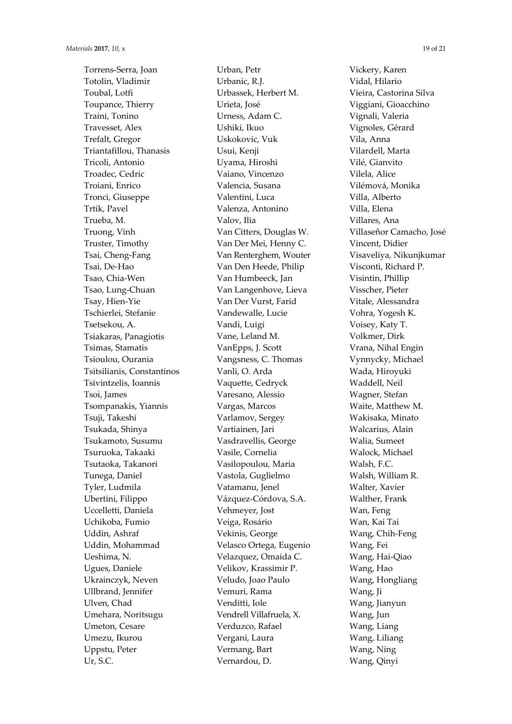Torrens-Serra, Joan Totolin, Vladimir Toubal, Lotfi Toupance, Thierry Traini, Tonino Travesset, Alex Trefalt, Gregor Triantafillou, Thanasis Tricoli, Antonio Troadec, Cedric Troiani, Enrico Tronci, Giuseppe Trtik, Pavel Trueba, M. Truong, Vinh Truster, Timothy Tsai, Cheng-Fang Tsai, De-Hao Tsao, Chia-Wen Tsao, Lung-Chuan Tsay, Hien-Yie Tschierlei, Stefanie Tsetsekou, A. Tsiakaras, Panagiotis Tsimas, Stamatis Tsioulou, Ourania Tsitsilianis, Constantinos Tsivintzelis, Ioannis Tsoi, James Tsompanakis, Yiannis Tsuji, Takeshi Tsukada, Shinya Tsukamoto, Susumu Tsuruoka, Takaaki Tsutaoka, Takanori Tunega, Daniel Tyler, Ludmila Ubertini, Filippo Uccelletti, Daniela Uchikoba, Fumio Uddin, Ashraf Uddin, Mohammad Ueshima, N. Ugues, Daniele Ukrainczyk, Neven Ullbrand, Jennifer Ulven, Chad Umehara, Noritsugu Umeton, Cesare Umezu, Ikurou Uppstu, Peter Ur, S.C.

Urban, Petr Urbanic, R.J. Urbassek, Herbert M. Urieta, José Urness, Adam C. Ushiki, Ikuo Uskokovic, Vuk Usui, Kenji Uyama, Hiroshi Vaiano, Vincenzo Valencia, Susana Valentini, Luca Valenza, Antonino Valov, Ilia Van Citters, Douglas W. Van Der Mei, Henny C. Van Renterghem, Wouter Van Den Heede, Philip Van Humbeeck, Jan Van Langenhove, Lieva Van Der Vurst, Farid Vandewalle, Lucie Vandi, Luigi Vane, Leland M. VanEpps, J. Scott Vangsness, C. Thomas Vanli, O. Arda Vaquette, Cedryck Varesano, Alessio Vargas, Marcos Varlamov, Sergey Vartiainen, Jari Vasdravellis, George Vasile, Cornelia Vasilopoulou, Maria Vastola, Guglielmo Vatamanu, Jenel Vázquez-Córdova, S.A. Vehmeyer, Jost Veiga, Rosário Vekinis, George Velasco Ortega, Eugenio Velazquez, Omaida C. Velikov, Krassimir P. Veludo, Joao Paulo Vemuri, Rama Venditti, Iole Vendrell Villafruela, X. Verduzco, Rafael Vergani, Laura Vermang, Bart Vernardou, D.

Vickery, Karen Vidal, Hilario Vieira, Castorina Silva Viggiani, Gioacchino Vignali, Valeria Vignoles, Gérard Vila, Anna Vilardell, Marta Vilé, Gianvito Vilela, Alice Vilémová, Monika Villa, Alberto Villa, Elena Villares, Ana Villaseñor Camacho, José Vincent, Didier Visaveliya, Nikunjkumar Visconti, Richard P. Visintin, Phillip Visscher, Pieter Vitale, Alessandra Vohra, Yogesh K. Voisey, Katy T. Volkmer, Dirk Vrana, Nihal Engin Vynnycky, Michael Wada, Hiroyuki Waddell, Neil Wagner, Stefan Waite, Matthew M. Wakisaka, Minato Walcarius, Alain Walia, Sumeet Walock, Michael Walsh, F.C. Walsh, William R. Walter, Xavier Walther, Frank Wan, Feng Wan, Kai Tai Wang, Chih-Feng Wang, Fei Wang, Hai-Qiao Wang, Hao Wang, Hongliang Wang, Ji Wang, Jianyun Wang, Jun Wang, Liang Wang, Liliang Wang, Ning Wang, Qinyi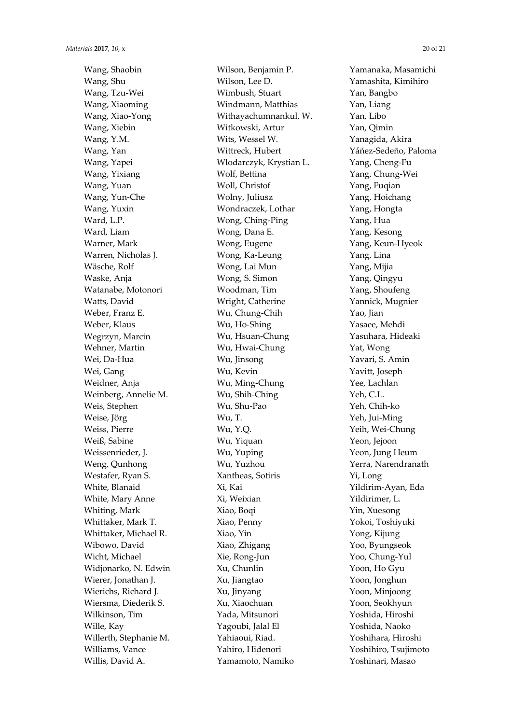Wang, Shaobin Wang, Shu Wang, Tzu-Wei Wang, Xiaoming Wang, Xiao-Yong Wang, Xiebin Wang, Y.M. Wang, Yan Wang, Yapei Wang, Yixiang Wang, Yuan Wang, Yun-Che Wang, Yuxin Ward, L.P. Ward, Liam Warner, Mark Warren, Nicholas J. Wäsche, Rolf Waske, Anja Watanabe, Motonori Watts, David Weber, Franz E. Weber, Klaus Wegrzyn, Marcin Wehner, Martin Wei, Da-Hua Wei, Gang Weidner, Anja Weinberg, Annelie M. Weis, Stephen Weise, Jörg Weiss, Pierre Weiß, Sabine Weissenrieder, J. Weng, Qunhong Westafer, Ryan S. White, Blanaid White, Mary Anne Whiting, Mark Whittaker, Mark T. Whittaker, Michael R. Wibowo, David Wicht, Michael Widjonarko, N. Edwin Wierer, Jonathan J. Wierichs, Richard J. Wiersma, Diederik S. Wilkinson, Tim Wille, Kay Willerth, Stephanie M. Williams, Vance Willis, David A.

Wilson, Benjamin P. Wilson, Lee D. Wimbush, Stuart Windmann, Matthias Withayachumnankul, W. Witkowski, Artur Wits, Wessel W. Wittreck, Hubert Wlodarczyk, Krystian L. Wolf, Bettina Woll, Christof Wolny, Juliusz Wondraczek, Lothar Wong, Ching-Ping Wong, Dana E. Wong, Eugene Wong, Ka-Leung Wong, Lai Mun Wong, S. Simon Woodman, Tim Wright, Catherine Wu, Chung-Chih Wu, Ho-Shing Wu, Hsuan-Chung Wu, Hwai-Chung Wu, Jinsong Wu, Kevin Wu, Ming-Chung Wu, Shih-Ching Wu, Shu-Pao Wu, T. Wu, Y.Q. Wu, Yiquan Wu, Yuping Wu, Yuzhou Xantheas, Sotiris Xi, Kai Xi, Weixian Xiao, Boqi Xiao, Penny Xiao, Yin Xiao, Zhigang Xie, Rong-Jun Xu, Chunlin Xu, Jiangtao Xu, Jinyang Xu, Xiaochuan Yada, Mitsunori Yagoubi, Jalal El Yahiaoui, Riad. Yahiro, Hidenori Yamamoto, Namiko

Yamanaka, Masamichi Yamashita, Kimihiro Yan, Bangbo Yan, Liang Yan, Libo Yan, Qimin Yanagida, Akira Yáñez-Sedeño, Paloma Yang, Cheng-Fu Yang, Chung-Wei Yang, Fugian Yang, Hoichang Yang, Hongta Yang, Hua Yang, Kesong Yang, Keun-Hyeok Yang, Lina Yang, Mijia Yang, Qingyu Yang, Shoufeng Yannick, Mugnier Yao, Jian Yasaee, Mehdi Yasuhara, Hideaki Yat, Wong Yavari, S. Amin Yavitt, Joseph Yee, Lachlan Yeh, C.L. Yeh, Chih-ko Yeh, Jui-Ming Yeih, Wei-Chung Yeon, Jejoon Yeon, Jung Heum Yerra, Narendranath Yi, Long Yildirim-Ayan, Eda Yildirimer, L. Yin, Xuesong Yokoi, Toshiyuki Yong, Kijung Yoo, Byungseok Yoo, Chung-Yul Yoon, Ho Gyu Yoon, Jonghun Yoon, Minjoong Yoon, Seokhyun Yoshida, Hiroshi Yoshida, Naoko Yoshihara, Hiroshi Yoshihiro, Tsujimoto Yoshinari, Masao